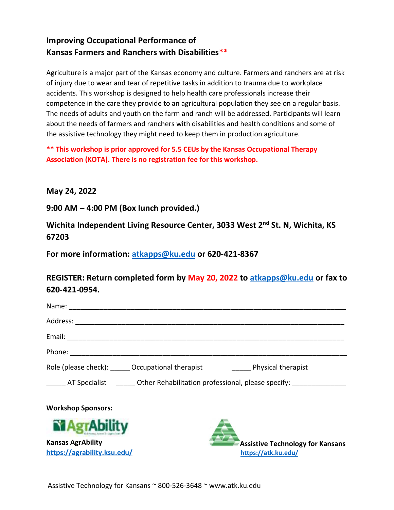## **Improving Occupational Performance of Kansas Farmers and Ranchers with Disabilities\*\***

Agriculture is a major part of the Kansas economy and culture. Farmers and ranchers are at risk of injury due to wear and tear of repetitive tasks in addition to trauma due to workplace accidents. This workshop is designed to help health care professionals increase their competence in the care they provide to an agricultural population they see on a regular basis. The needs of adults and youth on the farm and ranch will be addressed. Participants will learn about the needs of farmers and ranchers with disabilities and health conditions and some of the assistive technology they might need to keep them in production agriculture.

**\*\* This workshop is prior approved for 5.5 CEUs by the Kansas Occupational Therapy Association (KOTA). There is no registration fee for this workshop.** 

**May 24, 2022**

**9:00 AM – 4:00 PM (Box lunch provided.)**

**Wichita Independent Living Resource Center, 3033 West 2nd St. N, Wichita, KS 67203**

**For more information: [atkapps@ku.edu](mailto:atkapps@ku.edu) or 620-421-8367**

**REGISTER: Return completed form by May 20, 2022 to [atkapps@ku.edu](mailto:atkapps@ku.edu) or fax to 620-421-0954.**

| Name: when the contract of the contract of the contract of the contract of the contract of the contract of the |  |  |
|----------------------------------------------------------------------------------------------------------------|--|--|
|                                                                                                                |  |  |
|                                                                                                                |  |  |
|                                                                                                                |  |  |
| Role (please check): ______ Occupational therapist ______________________________ Physical therapist           |  |  |
| AT Specialist <b>Subsetive Contact Attack Other Rehabilitation professional, please specify:</b>               |  |  |
| <b>Workshop Sponsors:</b>                                                                                      |  |  |
|                                                                                                                |  |  |

**Kansas AgrAbility <https://agrability.ksu.edu/>**